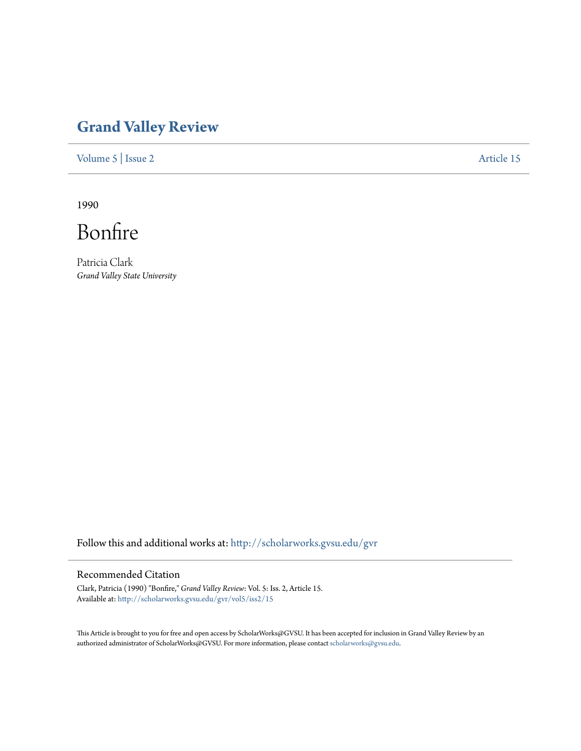## **[Grand Valley Review](http://scholarworks.gvsu.edu/gvr?utm_source=scholarworks.gvsu.edu%2Fgvr%2Fvol5%2Fiss2%2F15&utm_medium=PDF&utm_campaign=PDFCoverPages)**

[Volume 5](http://scholarworks.gvsu.edu/gvr/vol5?utm_source=scholarworks.gvsu.edu%2Fgvr%2Fvol5%2Fiss2%2F15&utm_medium=PDF&utm_campaign=PDFCoverPages) | [Issue 2](http://scholarworks.gvsu.edu/gvr/vol5/iss2?utm_source=scholarworks.gvsu.edu%2Fgvr%2Fvol5%2Fiss2%2F15&utm_medium=PDF&utm_campaign=PDFCoverPages) [Article 15](http://scholarworks.gvsu.edu/gvr/vol5/iss2/15?utm_source=scholarworks.gvsu.edu%2Fgvr%2Fvol5%2Fiss2%2F15&utm_medium=PDF&utm_campaign=PDFCoverPages)

1990

Bonfire

Patricia Clark *Grand Valley State University*

Follow this and additional works at: [http://scholarworks.gvsu.edu/gvr](http://scholarworks.gvsu.edu/gvr?utm_source=scholarworks.gvsu.edu%2Fgvr%2Fvol5%2Fiss2%2F15&utm_medium=PDF&utm_campaign=PDFCoverPages)

## Recommended Citation

Clark, Patricia (1990) "Bonfire," *Grand Valley Review*: Vol. 5: Iss. 2, Article 15. Available at: [http://scholarworks.gvsu.edu/gvr/vol5/iss2/15](http://scholarworks.gvsu.edu/gvr/vol5/iss2/15?utm_source=scholarworks.gvsu.edu%2Fgvr%2Fvol5%2Fiss2%2F15&utm_medium=PDF&utm_campaign=PDFCoverPages)

This Article is brought to you for free and open access by ScholarWorks@GVSU. It has been accepted for inclusion in Grand Valley Review by an authorized administrator of ScholarWorks@GVSU. For more information, please contact [scholarworks@gvsu.edu.](mailto:scholarworks@gvsu.edu)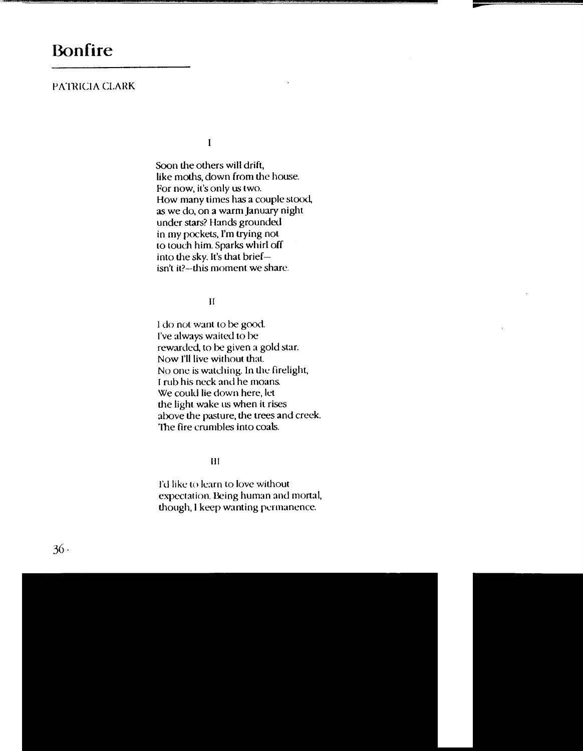## PATRICIA CLARK

 $\mathbf{I}$ 

Soon the others will drift, like moths, down from the house. For now, it's only us two. How many times has a couple stood, as we do, on a warm january night under stars? Hands grounded in my pockets, I'm trying not to touch him. Sparks whirl off into the sky. It's that briefisn't it?-this moment we share.

II

I do not want to be good. I've always waited to be rewarded, to be given a gold star. Now I'll live without that. No one is watching. In Ule firelight, I rub his neck and he moans. We could lie down here, let the light wake us when it rises above the pasture, the trees and creek. The fire crumbles into coals.

Ill

I'd like to learn to love without expectation. Being human and mortal, though, I keep wanting permanence.